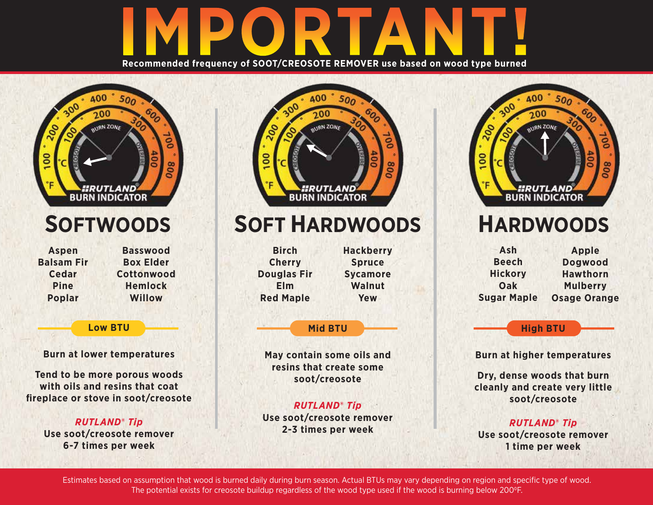## **Recommended frequency of SOOT/CREOSOTE REMOVER use based on wood type burned**



**Burn at lower temperatures**

**Tend to be more porous woods with oils and resins that coat fireplace or stove in soot/creosote**

> *RUTLAND***®** *Tip* **Use soot/creosote remover 6-7 times per week**



## **SOFTWOODS SOFT HARDWOODS HARDWOODS**

| <b>Birch</b>       | <b>Hackberry</b> |
|--------------------|------------------|
| <b>Cherry</b>      | <b>Spruce</b>    |
| <b>Douglas Fir</b> | <b>Sycamore</b>  |
| Elm                | Walnut           |
| <b>Red Maple</b>   | Yew              |
|                    |                  |

## **Mid BTU**

**May contain some oils and resins that create some soot/creosote**

*RUTLAND***®** *Tip* **Use soot/creosote remover 2-3 times per week** 



| Ash                | <b>Apple</b>        |
|--------------------|---------------------|
| <b>Beech</b>       | <b>Dogwood</b>      |
| <b>Hickory</b>     | <b>Hawthorn</b>     |
| Oak                | <b>Mulberry</b>     |
| <b>Sugar Maple</b> | <b>Osage Orange</b> |

**High BTU**

**Burn at higher temperatures**

**Dry, dense woods that burn cleanly and create very little soot/creosote**

*RUTLAND***®** *Tip* **Use soot/creosote remover 1 time per week**

Estimates based on assumption that wood is burned daily during burn season. Actual BTUs may vary depending on region and specific type of wood. The potential exists for creosote buildup regardless of the wood type used if the wood is burning below 200°F.